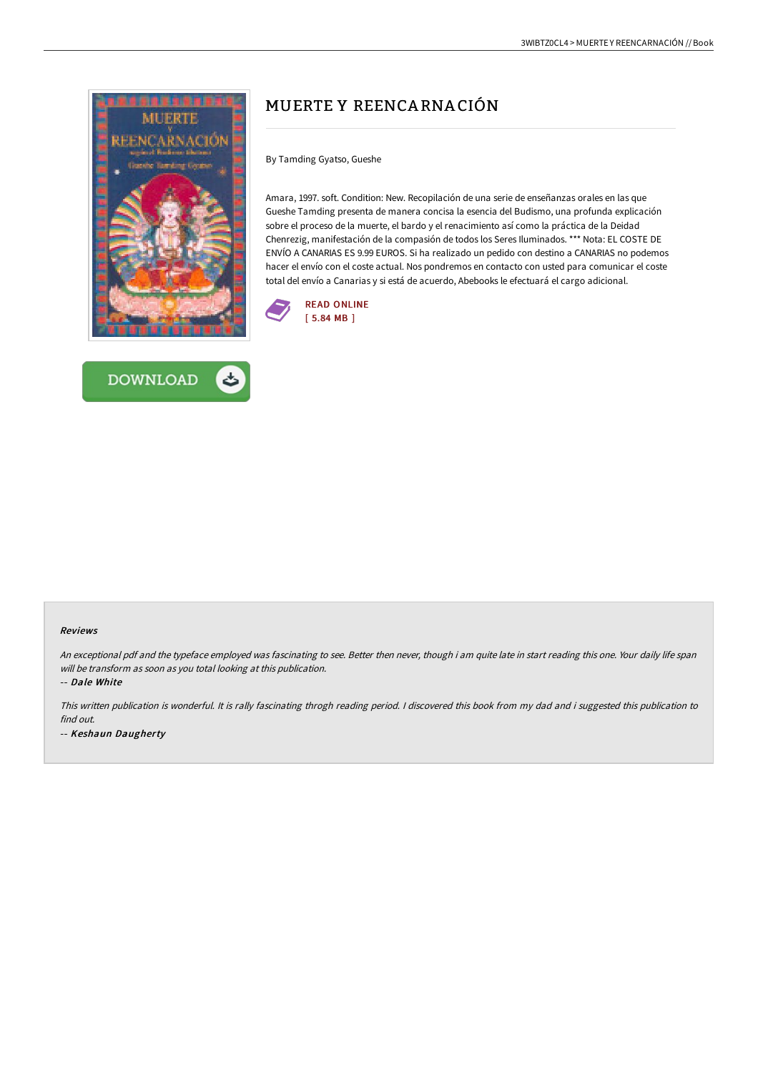



# MUERTE Y REENCA RNA CIÓN

By Tamding Gyatso, Gueshe

Amara, 1997. soft. Condition: New. Recopilación de una serie de enseñanzas orales en las que Gueshe Tamding presenta de manera concisa la esencia del Budismo, una profunda explicación sobre el proceso de la muerte, el bardo y el renacimiento así como la práctica de la Deidad Chenrezig, manifestación de la compasión de todos los Seres Iluminados. \*\*\* Nota: EL COSTE DE ENVÍO A CANARIAS ES 9.99 EUROS. Si ha realizado un pedido con destino a CANARIAS no podemos hacer el envío con el coste actual. Nos pondremos en contacto con usted para comunicar el coste total del envío a Canarias y si está de acuerdo, Abebooks le efectuará el cargo adicional.



#### Reviews

An exceptional pdf and the typeface employed was fascinating to see. Better then never, though i am quite late in start reading this one. Your daily life span will be transform as soon as you total looking at this publication.

-- Dale White

This written publication is wonderful. It is rally fascinating throgh reading period. <sup>I</sup> discovered this book from my dad and i suggested this publication to find out. -- Keshaun Daugherty